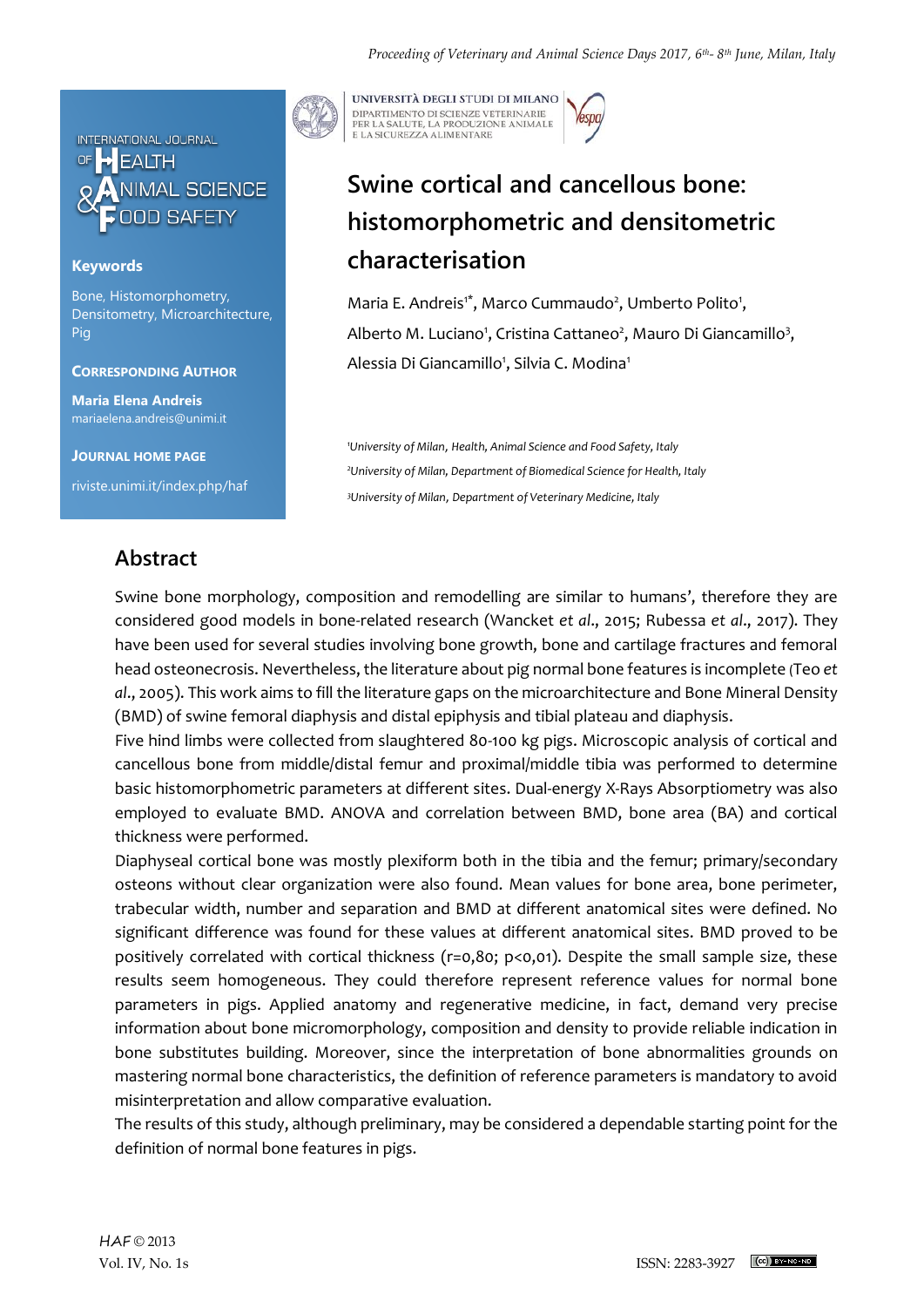

## **Keywords**

Bone, Histomorphometry, Densitometry, Microarchitecture, Pig

**CORRESPONDING AUTHOR**

**Maria Elena Andreis** mariaelena.andreis@unimi.it

**JOURNAL HOME PAGE** riviste.unimi.it/index.php/haf



UNIVERSITÀ DEGLI STUDI DI MILANO DIPARTIMENTO DI SCIENZE VETERINARIE PER LA SALUTE, LA PRODUZIONE ANIMALE<br>E LA SICUREZZA ALIMENTARE

## **Swine cortical and cancellous bone: histomorphometric and densitometric characterisation**

Maria E. Andreis<sup>1\*</sup>, Marco Cummaudo<sup>2</sup>, Umberto Polito<sup>1</sup>, Alberto M. Luciano<sup>1</sup>, Cristina Cattaneo<sup>2</sup>, Mauro Di Giancamillo<sup>3</sup>, Alessia Di Giancamillo<sup>1</sup>, Silvia C. Modina<sup>1</sup>

*<sup>1</sup>University of Milan*, *Health, Animal Science and Food Safety, Italy <sup>2</sup>University of Milan, Department of Biomedical Science for Health, Italy <sup>3</sup>University of Milan*, *Department of Veterinary Medicine, Italy* 

## **Abstract**

Swine bone morphology, composition and remodelling are similar to humans', therefore they are considered good models in bone-related research (Wancket *et al*., 2015; Rubessa *et al*., 2017). They have been used for several studies involving bone growth, bone and cartilage fractures and femoral head osteonecrosis. Nevertheless, the literature about pig normal bone features is incomplete (Teo *et al*., 2005). This work aims to fill the literature gaps on the microarchitecture and Bone Mineral Density (BMD) of swine femoral diaphysis and distal epiphysis and tibial plateau and diaphysis.

Five hind limbs were collected from slaughtered 80-100 kg pigs. Microscopic analysis of cortical and cancellous bone from middle/distal femur and proximal/middle tibia was performed to determine basic histomorphometric parameters at different sites. Dual-energy X-Rays Absorptiometry was also employed to evaluate BMD. ANOVA and correlation between BMD, bone area (BA) and cortical thickness were performed.

Diaphyseal cortical bone was mostly plexiform both in the tibia and the femur; primary/secondary osteons without clear organization were also found. Mean values for bone area, bone perimeter, trabecular width, number and separation and BMD at different anatomical sites were defined. No significant difference was found for these values at different anatomical sites. BMD proved to be positively correlated with cortical thickness ( $r=0.80$ ;  $p<0.01$ ). Despite the small sample size, these results seem homogeneous. They could therefore represent reference values for normal bone parameters in pigs. Applied anatomy and regenerative medicine, in fact, demand very precise information about bone micromorphology, composition and density to provide reliable indication in bone substitutes building. Moreover, since the interpretation of bone abnormalities grounds on mastering normal bone characteristics, the definition of reference parameters is mandatory to avoid misinterpretation and allow comparative evaluation.

The results of this study, although preliminary, may be considered a dependable starting point for the definition of normal bone features in pigs.